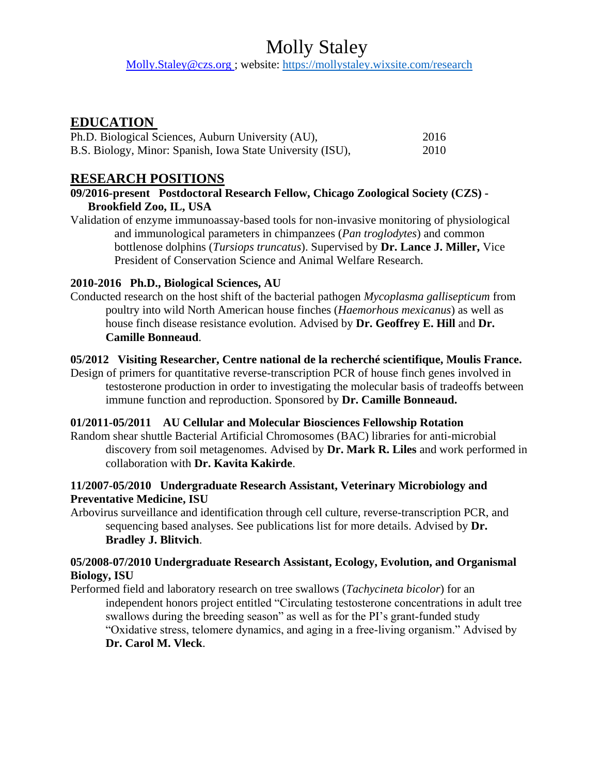Molly.Staley@czs.org ; website:<https://mollystaley.wixsite.com/research>

## **EDUCATION**

| Ph.D. Biological Sciences, Auburn University (AU),         | 2016 |
|------------------------------------------------------------|------|
| B.S. Biology, Minor: Spanish, Iowa State University (ISU), | 2010 |

## **RESEARCH POSITIONS**

- **09/2016-present Postdoctoral Research Fellow, Chicago Zoological Society (CZS) - Brookfield Zoo, IL, USA**
- Validation of enzyme immunoassay-based tools for non-invasive monitoring of physiological and immunological parameters in chimpanzees (*Pan troglodytes*) and common bottlenose dolphins (*Tursiops truncatus*). Supervised by **Dr. Lance J. Miller,** Vice President of Conservation Science and Animal Welfare Research.

### **2010-2016 Ph.D., Biological Sciences, AU**

Conducted research on the host shift of the bacterial pathogen *Mycoplasma gallisepticum* from poultry into wild North American house finches (*Haemorhous mexicanus*) as well as house finch disease resistance evolution. Advised by **Dr. Geoffrey E. Hill** and **Dr. Camille Bonneaud**.

### **05/2012 Visiting Researcher, Centre national de la recherché scientifique, Moulis France.**

Design of primers for quantitative reverse-transcription PCR of house finch genes involved in testosterone production in order to investigating the molecular basis of tradeoffs between immune function and reproduction. Sponsored by **Dr. Camille Bonneaud.**

### **01/2011-05/2011 AU Cellular and Molecular Biosciences Fellowship Rotation**

Random shear shuttle Bacterial Artificial Chromosomes (BAC) libraries for anti-microbial discovery from soil metagenomes. Advised by **Dr. Mark R. Liles** and work performed in collaboration with **Dr. Kavita Kakirde**.

### **11/2007-05/2010 Undergraduate Research Assistant, Veterinary Microbiology and Preventative Medicine, ISU**

Arbovirus surveillance and identification through cell culture, reverse-transcription PCR, and sequencing based analyses. See publications list for more details. Advised by **Dr. Bradley J. Blitvich**.

### **05/2008-07/2010 Undergraduate Research Assistant, Ecology, Evolution, and Organismal Biology, ISU**

Performed field and laboratory research on tree swallows (*Tachycineta bicolor*) for an independent honors project entitled "Circulating testosterone concentrations in adult tree swallows during the breeding season" as well as for the PI's grant-funded study "Oxidative stress, telomere dynamics, and aging in a free-living organism." Advised by **Dr. Carol M. Vleck**.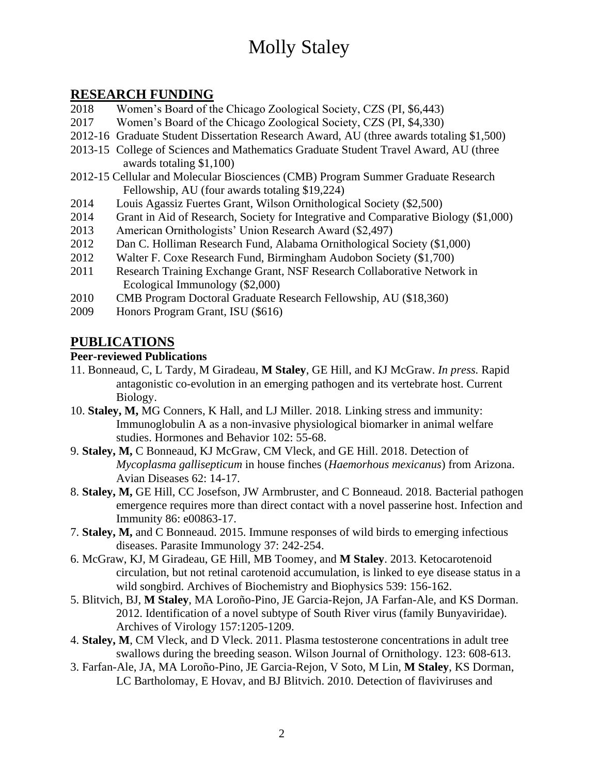## **RESEARCH FUNDING**

- 2018 Women's Board of the Chicago Zoological Society, CZS (PI, \$6,443)
- 2017 Women's Board of the Chicago Zoological Society, CZS (PI, \$4,330)
- 2012-16 Graduate Student Dissertation Research Award, AU (three awards totaling \$1,500)
- 2013-15 College of Sciences and Mathematics Graduate Student Travel Award, AU (three awards totaling \$1,100)
- 2012-15 Cellular and Molecular Biosciences (CMB) Program Summer Graduate Research Fellowship, AU (four awards totaling \$19,224)
- 2014 Louis Agassiz Fuertes Grant, Wilson Ornithological Society (\$2,500)
- 2014 Grant in Aid of Research, Society for Integrative and Comparative Biology (\$1,000)
- 2013 American Ornithologists' Union Research Award (\$2,497)
- 2012 Dan C. Holliman Research Fund, Alabama Ornithological Society (\$1,000)
- 2012 Walter F. Coxe Research Fund, Birmingham Audobon Society (\$1,700)
- 2011 Research Training Exchange Grant, NSF Research Collaborative Network in Ecological Immunology (\$2,000)
- 2010 CMB Program Doctoral Graduate Research Fellowship, AU (\$18,360)
- 2009 Honors Program Grant, ISU (\$616)

## **PUBLICATIONS**

### **Peer-reviewed Publications**

- 11. Bonneaud, C, L Tardy, M Giradeau, **M Staley**, GE Hill, and KJ McGraw. *In press.* Rapid antagonistic co-evolution in an emerging pathogen and its vertebrate host. Current Biology.
- 10. **Staley, M,** MG Conners, K Hall, and LJ Miller*.* 2018*.* Linking stress and immunity: Immunoglobulin A as a non-invasive physiological biomarker in animal welfare studies. Hormones and Behavior 102: 55-68.
- 9. **Staley, M,** C Bonneaud, KJ McGraw, CM Vleck, and GE Hill. 2018. Detection of *Mycoplasma gallisepticum* in house finches (*Haemorhous mexicanus*) from Arizona. Avian Diseases 62: 14-17.
- 8. **Staley, M,** GE Hill, CC Josefson, JW Armbruster, and C Bonneaud. 2018*.* Bacterial pathogen emergence requires more than direct contact with a novel passerine host. Infection and Immunity 86: e00863-17.
- 7. **Staley, M,** and C Bonneaud. 2015. Immune responses of wild birds to emerging infectious diseases. Parasite Immunology 37: 242-254.
- 6. McGraw, KJ, M Giradeau, GE Hill, MB Toomey, and **M Staley**. 2013. Ketocarotenoid circulation, but not retinal carotenoid accumulation, is linked to eye disease status in a wild songbird. Archives of Biochemistry and Biophysics 539: 156-162.
- 5. Blitvich, BJ, **M Staley**, MA Loroño-Pino, JE Garcia-Rejon, JA Farfan-Ale, and KS Dorman. 2012. Identification of a novel subtype of South River virus (family Bunyaviridae). Archives of Virology 157:1205-1209.
- 4. **Staley, M**, CM Vleck, and D Vleck. 2011. Plasma testosterone concentrations in adult tree swallows during the breeding season. Wilson Journal of Ornithology. 123: 608-613.
- 3. Farfan-Ale, JA, MA Loroño-Pino, JE Garcia-Rejon, V Soto, M Lin, **M Staley**, KS Dorman, LC Bartholomay, E Hovav, and BJ Blitvich. 2010. Detection of flaviviruses and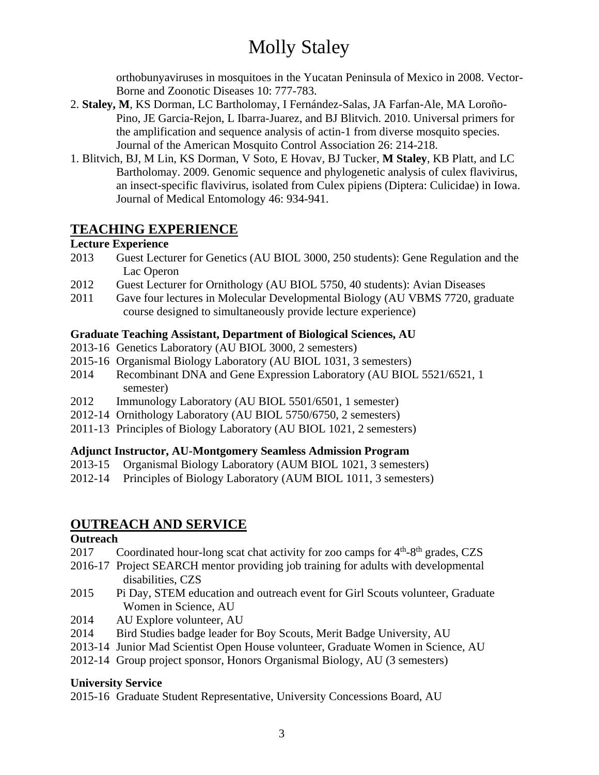orthobunyaviruses in mosquitoes in the Yucatan Peninsula of Mexico in 2008. Vector-Borne and Zoonotic Diseases 10: 777-783.

- 2. **Staley, M**, KS Dorman, LC Bartholomay, I Fernández-Salas, JA Farfan-Ale, MA Loroño-Pino, JE Garcia-Rejon, L Ibarra-Juarez, and BJ Blitvich. 2010. Universal primers for the amplification and sequence analysis of actin-1 from diverse mosquito species. Journal of the American Mosquito Control Association 26: 214-218.
- 1. Blitvich, BJ, M Lin, KS Dorman, V Soto, E Hovav, BJ Tucker, **M Staley**, KB Platt, and LC Bartholomay. 2009. Genomic sequence and phylogenetic analysis of culex flavivirus, an insect-specific flavivirus, isolated from Culex pipiens (Diptera: Culicidae) in Iowa. Journal of Medical Entomology 46: 934-941.

## **TEACHING EXPERIENCE**

### **Lecture Experience**

- 2013 Guest Lecturer for Genetics (AU BIOL 3000, 250 students): Gene Regulation and the Lac Operon
- 2012 Guest Lecturer for Ornithology (AU BIOL 5750, 40 students): Avian Diseases
- 2011 Gave four lectures in Molecular Developmental Biology (AU VBMS 7720, graduate course designed to simultaneously provide lecture experience)

### **Graduate Teaching Assistant, Department of Biological Sciences, AU**

- 2013-16 Genetics Laboratory (AU BIOL 3000, 2 semesters)
- 2015-16 Organismal Biology Laboratory (AU BIOL 1031, 3 semesters)
- 2014 Recombinant DNA and Gene Expression Laboratory (AU BIOL 5521/6521, 1 semester)
- 2012 Immunology Laboratory (AU BIOL 5501/6501, 1 semester)
- 2012-14 Ornithology Laboratory (AU BIOL 5750/6750, 2 semesters)
- 2011-13 Principles of Biology Laboratory (AU BIOL 1021, 2 semesters)

### **Adjunct Instructor, AU-Montgomery Seamless Admission Program**

- 2013-15 Organismal Biology Laboratory (AUM BIOL 1021, 3 semesters)
- 2012-14 Principles of Biology Laboratory (AUM BIOL 1011, 3 semesters)

## **OUTREACH AND SERVICE**

### **Outreach**

- 2017 Coordinated hour-long scat chat activity for zoo camps for  $4<sup>th</sup>$ -8<sup>th</sup> grades, CZS
- 2016-17 Project SEARCH mentor providing job training for adults with developmental disabilities, CZS
- 2015 Pi Day, STEM education and outreach event for Girl Scouts volunteer, Graduate Women in Science, AU
- 2014 AU Explore volunteer, AU
- 2014 Bird Studies badge leader for Boy Scouts, Merit Badge University, AU
- 2013-14 Junior Mad Scientist Open House volunteer, Graduate Women in Science, AU
- 2012-14 Group project sponsor, Honors Organismal Biology, AU (3 semesters)

### **University Service**

2015-16 Graduate Student Representative, University Concessions Board, AU